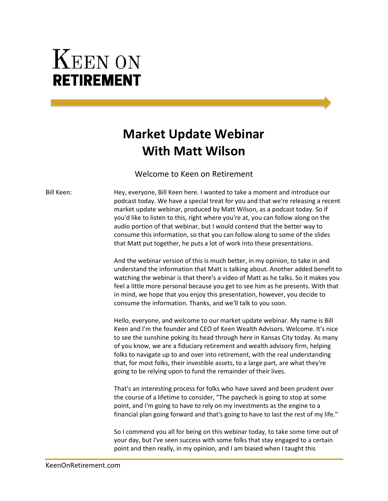## **KEEN ON RETIREMENT**

## **Market Update Webinar With Matt Wilson**

Welcome to Keen on Retirement

Bill Keen: Hey, everyone, Bill Keen here. I wanted to take a moment and introduce our podcast today. We have a special treat for you and that we're releasing a recent market update webinar, produced by Matt Wilson, as a podcast today. So if you'd like to listen to this, right where you're at, you can follow along on the audio portion of that webinar, but I would contend that the better way to consume this information, so that you can follow along to some of the slides that Matt put together, he puts a lot of work into these presentations.

> And the webinar version of this is much better, in my opinion, to take in and understand the information that Matt is talking about. Another added benefit to watching the webinar is that there's a video of Matt as he talks. So it makes you feel a little more personal because you get to see him as he presents. With that in mind, we hope that you enjoy this presentation, however, you decide to consume the information. Thanks, and we'll talk to you soon.

Hello, everyone, and welcome to our market update webinar. My name is Bill Keen and I'm the founder and CEO of Keen Wealth Advisors. Welcome. It's nice to see the sunshine poking its head through here in Kansas City today. As many of you know, we are a fiduciary retirement and wealth advisory firm, helping folks to navigate up to and over into retirement, with the real understanding that, for most folks, their investible assets, to a large part, are what they're going to be relying upon to fund the remainder of their lives.

That's an interesting process for folks who have saved and been prudent over the course of a lifetime to consider, "The paycheck is going to stop at some point, and I'm going to have to rely on my investments as the engine to a financial plan going forward and that's going to have to last the rest of my life."

So I commend you all for being on this webinar today, to take some time out of your day, but I've seen success with some folks that stay engaged to a certain point and then really, in my opinion, and I am biased when I taught this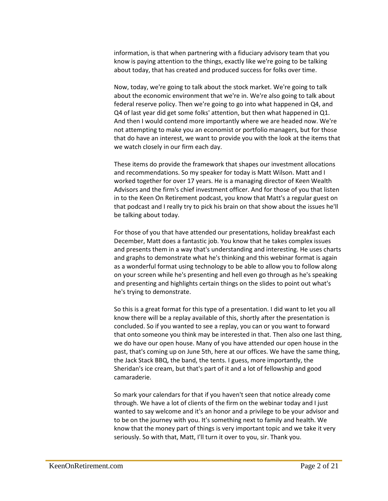information, is that when partnering with a fiduciary advisory team that you know is paying attention to the things, exactly like we're going to be talking about today, that has created and produced success for folks over time.

Now, today, we're going to talk about the stock market. We're going to talk about the economic environment that we're in. We're also going to talk about federal reserve policy. Then we're going to go into what happened in Q4, and Q4 of last year did get some folks' attention, but then what happened in Q1. And then I would contend more importantly where we are headed now. We're not attempting to make you an economist or portfolio managers, but for those that do have an interest, we want to provide you with the look at the items that we watch closely in our firm each day.

These items do provide the framework that shapes our investment allocations and recommendations. So my speaker for today is Matt Wilson. Matt and I worked together for over 17 years. He is a managing director of Keen Wealth Advisors and the firm's chief investment officer. And for those of you that listen in to the Keen On Retirement podcast, you know that Matt's a regular guest on that podcast and I really try to pick his brain on that show about the issues he'll be talking about today.

For those of you that have attended our presentations, holiday breakfast each December, Matt does a fantastic job. You know that he takes complex issues and presents them in a way that's understanding and interesting. He uses charts and graphs to demonstrate what he's thinking and this webinar format is again as a wonderful format using technology to be able to allow you to follow along on your screen while he's presenting and hell even go through as he's speaking and presenting and highlights certain things on the slides to point out what's he's trying to demonstrate.

So this is a great format for this type of a presentation. I did want to let you all know there will be a replay available of this, shortly after the presentation is concluded. So if you wanted to see a replay, you can or you want to forward that onto someone you think may be interested in that. Then also one last thing, we do have our open house. Many of you have attended our open house in the past, that's coming up on June 5th, here at our offices. We have the same thing, the Jack Stack BBQ, the band, the tents. I guess, more importantly, the Sheridan's ice cream, but that's part of it and a lot of fellowship and good camaraderie.

So mark your calendars for that if you haven't seen that notice already come through. We have a lot of clients of the firm on the webinar today and I just wanted to say welcome and it's an honor and a privilege to be your advisor and to be on the journey with you. It's something next to family and health. We know that the money part of things is very important topic and we take it very seriously. So with that, Matt, I'll turn it over to you, sir. Thank you.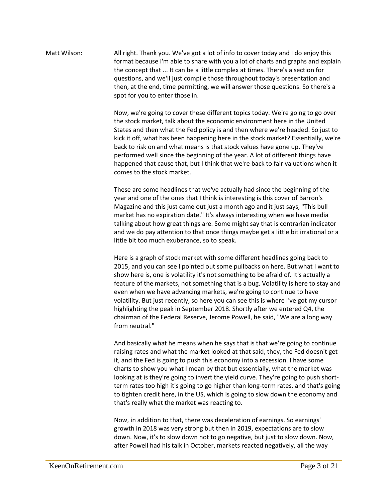Matt Wilson: All right. Thank you. We've got a lot of info to cover today and I do enjoy this format because I'm able to share with you a lot of charts and graphs and explain the concept that ... It can be a little complex at times. There's a section for questions, and we'll just compile those throughout today's presentation and then, at the end, time permitting, we will answer those questions. So there's a spot for you to enter those in.

> Now, we're going to cover these different topics today. We're going to go over the stock market, talk about the economic environment here in the United States and then what the Fed policy is and then where we're headed. So just to kick it off, what has been happening here in the stock market? Essentially, we're back to risk on and what means is that stock values have gone up. They've performed well since the beginning of the year. A lot of different things have happened that cause that, but I think that we're back to fair valuations when it comes to the stock market.

These are some headlines that we've actually had since the beginning of the year and one of the ones that I think is interesting is this cover of Barron's Magazine and this just came out just a month ago and it just says, "This bull market has no expiration date." It's always interesting when we have media talking about how great things are. Some might say that is contrarian indicator and we do pay attention to that once things maybe get a little bit irrational or a little bit too much exuberance, so to speak.

Here is a graph of stock market with some different headlines going back to 2015, and you can see I pointed out some pullbacks on here. But what I want to show here is, one is volatility it's not something to be afraid of. It's actually a feature of the markets, not something that is a bug. Volatility is here to stay and even when we have advancing markets, we're going to continue to have volatility. But just recently, so here you can see this is where I've got my cursor highlighting the peak in September 2018. Shortly after we entered Q4, the chairman of the Federal Reserve, Jerome Powell, he said, "We are a long way from neutral."

And basically what he means when he says that is that we're going to continue raising rates and what the market looked at that said, they, the Fed doesn't get it, and the Fed is going to push this economy into a recession. I have some charts to show you what I mean by that but essentially, what the market was looking at is they're going to invert the yield curve. They're going to push shortterm rates too high it's going to go higher than long-term rates, and that's going to tighten credit here, in the US, which is going to slow down the economy and that's really what the market was reacting to.

Now, in addition to that, there was deceleration of earnings. So earnings' growth in 2018 was very strong but then in 2019, expectations are to slow down. Now, it's to slow down not to go negative, but just to slow down. Now, after Powell had his talk in October, markets reacted negatively, all the way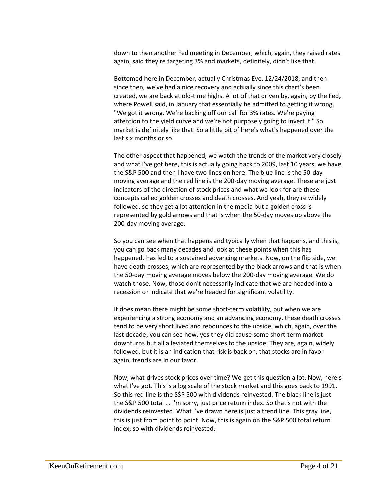down to then another Fed meeting in December, which, again, they raised rates again, said they're targeting 3% and markets, definitely, didn't like that.

Bottomed here in December, actually Christmas Eve, 12/24/2018, and then since then, we've had a nice recovery and actually since this chart's been created, we are back at old-time highs. A lot of that driven by, again, by the Fed, where Powell said, in January that essentially he admitted to getting it wrong, "We got it wrong. We're backing off our call for 3% rates. We're paying attention to the yield curve and we're not purposely going to invert it." So market is definitely like that. So a little bit of here's what's happened over the last six months or so.

The other aspect that happened, we watch the trends of the market very closely and what I've got here, this is actually going back to 2009, last 10 years, we have the S&P 500 and then I have two lines on here. The blue line is the 50-day moving average and the red line is the 200-day moving average. These are just indicators of the direction of stock prices and what we look for are these concepts called golden crosses and death crosses. And yeah, they're widely followed, so they get a lot attention in the media but a golden cross is represented by gold arrows and that is when the 50-day moves up above the 200-day moving average.

So you can see when that happens and typically when that happens, and this is, you can go back many decades and look at these points when this has happened, has led to a sustained advancing markets. Now, on the flip side, we have death crosses, which are represented by the black arrows and that is when the 50-day moving average moves below the 200-day moving average. We do watch those. Now, those don't necessarily indicate that we are headed into a recession or indicate that we're headed for significant volatility.

It does mean there might be some short-term volatility, but when we are experiencing a strong economy and an advancing economy, these death crosses tend to be very short lived and rebounces to the upside, which, again, over the last decade, you can see how, yes they did cause some short-term market downturns but all alleviated themselves to the upside. They are, again, widely followed, but it is an indication that risk is back on, that stocks are in favor again, trends are in our favor.

Now, what drives stock prices over time? We get this question a lot. Now, here's what I've got. This is a log scale of the stock market and this goes back to 1991. So this red line is the S\$P 500 with dividends reinvested. The black line is just the S&P 500 total ... I'm sorry, just price return index. So that's not with the dividends reinvested. What I've drawn here is just a trend line. This gray line, this is just from point to point. Now, this is again on the S&P 500 total return index, so with dividends reinvested.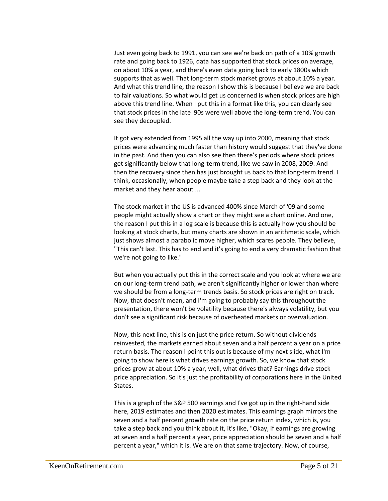Just even going back to 1991, you can see we're back on path of a 10% growth rate and going back to 1926, data has supported that stock prices on average, on about 10% a year, and there's even data going back to early 1800s which supports that as well. That long-term stock market grows at about 10% a year. And what this trend line, the reason I show this is because I believe we are back to fair valuations. So what would get us concerned is when stock prices are high above this trend line. When I put this in a format like this, you can clearly see that stock prices in the late '90s were well above the long-term trend. You can see they decoupled.

It got very extended from 1995 all the way up into 2000, meaning that stock prices were advancing much faster than history would suggest that they've done in the past. And then you can also see then there's periods where stock prices get significantly below that long-term trend, like we saw in 2008, 2009. And then the recovery since then has just brought us back to that long-term trend. I think, occasionally, when people maybe take a step back and they look at the market and they hear about ...

The stock market in the US is advanced 400% since March of '09 and some people might actually show a chart or they might see a chart online. And one, the reason I put this in a log scale is because this is actually how you should be looking at stock charts, but many charts are shown in an arithmetic scale, which just shows almost a parabolic move higher, which scares people. They believe, "This can't last. This has to end and it's going to end a very dramatic fashion that we're not going to like."

But when you actually put this in the correct scale and you look at where we are on our long-term trend path, we aren't significantly higher or lower than where we should be from a long-term trends basis. So stock prices are right on track. Now, that doesn't mean, and I'm going to probably say this throughout the presentation, there won't be volatility because there's always volatility, but you don't see a significant risk because of overheated markets or overvaluation.

Now, this next line, this is on just the price return. So without dividends reinvested, the markets earned about seven and a half percent a year on a price return basis. The reason I point this out is because of my next slide, what I'm going to show here is what drives earnings growth. So, we know that stock prices grow at about 10% a year, well, what drives that? Earnings drive stock price appreciation. So it's just the profitability of corporations here in the United States.

This is a graph of the S&P 500 earnings and I've got up in the right-hand side here, 2019 estimates and then 2020 estimates. This earnings graph mirrors the seven and a half percent growth rate on the price return index, which is, you take a step back and you think about it, it's like, "Okay, if earnings are growing at seven and a half percent a year, price appreciation should be seven and a half percent a year," which it is. We are on that same trajectory. Now, of course,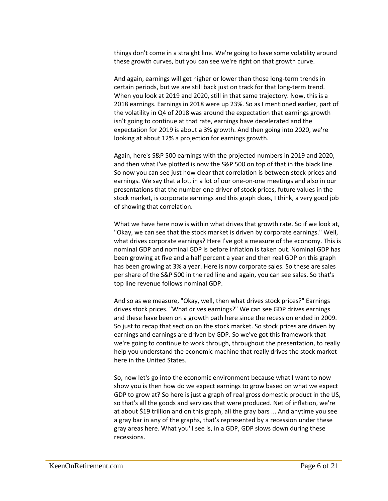things don't come in a straight line. We're going to have some volatility around these growth curves, but you can see we're right on that growth curve.

And again, earnings will get higher or lower than those long-term trends in certain periods, but we are still back just on track for that long-term trend. When you look at 2019 and 2020, still in that same trajectory. Now, this is a 2018 earnings. Earnings in 2018 were up 23%. So as I mentioned earlier, part of the volatility in Q4 of 2018 was around the expectation that earnings growth isn't going to continue at that rate, earnings have decelerated and the expectation for 2019 is about a 3% growth. And then going into 2020, we're looking at about 12% a projection for earnings growth.

Again, here's S&P 500 earnings with the projected numbers in 2019 and 2020, and then what I've plotted is now the S&P 500 on top of that in the black line. So now you can see just how clear that correlation is between stock prices and earnings. We say that a lot, in a lot of our one-on-one meetings and also in our presentations that the number one driver of stock prices, future values in the stock market, is corporate earnings and this graph does, I think, a very good job of showing that correlation.

What we have here now is within what drives that growth rate. So if we look at, "Okay, we can see that the stock market is driven by corporate earnings." Well, what drives corporate earnings? Here I've got a measure of the economy. This is nominal GDP and nominal GDP is before inflation is taken out. Nominal GDP has been growing at five and a half percent a year and then real GDP on this graph has been growing at 3% a year. Here is now corporate sales. So these are sales per share of the S&P 500 in the red line and again, you can see sales. So that's top line revenue follows nominal GDP.

And so as we measure, "Okay, well, then what drives stock prices?" Earnings drives stock prices. "What drives earnings?" We can see GDP drives earnings and these have been on a growth path here since the recession ended in 2009. So just to recap that section on the stock market. So stock prices are driven by earnings and earnings are driven by GDP. So we've got this framework that we're going to continue to work through, throughout the presentation, to really help you understand the economic machine that really drives the stock market here in the United States.

So, now let's go into the economic environment because what I want to now show you is then how do we expect earnings to grow based on what we expect GDP to grow at? So here is just a graph of real gross domestic product in the US, so that's all the goods and services that were produced. Net of inflation, we're at about \$19 trillion and on this graph, all the gray bars ... And anytime you see a gray bar in any of the graphs, that's represented by a recession under these gray areas here. What you'll see is, in a GDP, GDP slows down during these recessions.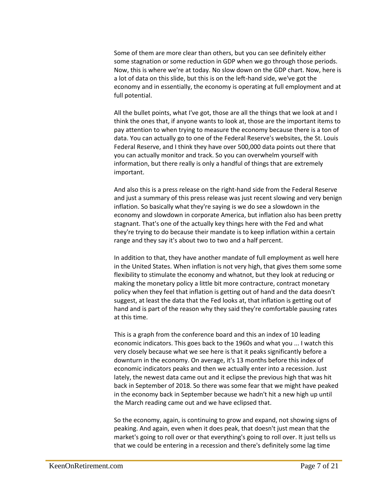Some of them are more clear than others, but you can see definitely either some stagnation or some reduction in GDP when we go through those periods. Now, this is where we're at today. No slow down on the GDP chart. Now, here is a lot of data on this slide, but this is on the left-hand side, we've got the economy and in essentially, the economy is operating at full employment and at full potential.

All the bullet points, what I've got, those are all the things that we look at and I think the ones that, if anyone wants to look at, those are the important items to pay attention to when trying to measure the economy because there is a ton of data. You can actually go to one of the Federal Reserve's websites, the St. Louis Federal Reserve, and I think they have over 500,000 data points out there that you can actually monitor and track. So you can overwhelm yourself with information, but there really is only a handful of things that are extremely important.

And also this is a press release on the right-hand side from the Federal Reserve and just a summary of this press release was just recent slowing and very benign inflation. So basically what they're saying is we do see a slowdown in the economy and slowdown in corporate America, but inflation also has been pretty stagnant. That's one of the actually key things here with the Fed and what they're trying to do because their mandate is to keep inflation within a certain range and they say it's about two to two and a half percent.

In addition to that, they have another mandate of full employment as well here in the United States. When inflation is not very high, that gives them some some flexibility to stimulate the economy and whatnot, but they look at reducing or making the monetary policy a little bit more contracture, contract monetary policy when they feel that inflation is getting out of hand and the data doesn't suggest, at least the data that the Fed looks at, that inflation is getting out of hand and is part of the reason why they said they're comfortable pausing rates at this time.

This is a graph from the conference board and this an index of 10 leading economic indicators. This goes back to the 1960s and what you ... I watch this very closely because what we see here is that it peaks significantly before a downturn in the economy. On average, it's 13 months before this index of economic indicators peaks and then we actually enter into a recession. Just lately, the newest data came out and it eclipse the previous high that was hit back in September of 2018. So there was some fear that we might have peaked in the economy back in September because we hadn't hit a new high up until the March reading came out and we have eclipsed that.

So the economy, again, is continuing to grow and expand, not showing signs of peaking. And again, even when it does peak, that doesn't just mean that the market's going to roll over or that everything's going to roll over. It just tells us that we could be entering in a recession and there's definitely some lag time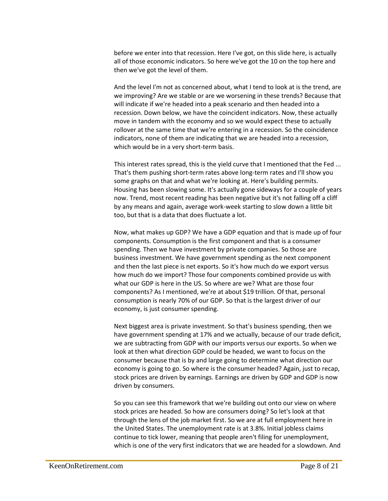before we enter into that recession. Here I've got, on this slide here, is actually all of those economic indicators. So here we've got the 10 on the top here and then we've got the level of them.

And the level I'm not as concerned about, what I tend to look at is the trend, are we improving? Are we stable or are we worsening in these trends? Because that will indicate if we're headed into a peak scenario and then headed into a recession. Down below, we have the coincident indicators. Now, these actually move in tandem with the economy and so we would expect these to actually rollover at the same time that we're entering in a recession. So the coincidence indicators, none of them are indicating that we are headed into a recession, which would be in a very short-term basis.

This interest rates spread, this is the yield curve that I mentioned that the Fed ... That's them pushing short-term rates above long-term rates and I'll show you some graphs on that and what we're looking at. Here's building permits. Housing has been slowing some. It's actually gone sideways for a couple of years now. Trend, most recent reading has been negative but it's not falling off a cliff by any means and again, average work-week starting to slow down a little bit too, but that is a data that does fluctuate a lot.

Now, what makes up GDP? We have a GDP equation and that is made up of four components. Consumption is the first component and that is a consumer spending. Then we have investment by private companies. So those are business investment. We have government spending as the next component and then the last piece is net exports. So it's how much do we export versus how much do we import? Those four components combined provide us with what our GDP is here in the US. So where are we? What are those four components? As I mentioned, we're at about \$19 trillion. Of that, personal consumption is nearly 70% of our GDP. So that is the largest driver of our economy, is just consumer spending.

Next biggest area is private investment. So that's business spending, then we have government spending at 17% and we actually, because of our trade deficit, we are subtracting from GDP with our imports versus our exports. So when we look at then what direction GDP could be headed, we want to focus on the consumer because that is by and large going to determine what direction our economy is going to go. So where is the consumer headed? Again, just to recap, stock prices are driven by earnings. Earnings are driven by GDP and GDP is now driven by consumers.

So you can see this framework that we're building out onto our view on where stock prices are headed. So how are consumers doing? So let's look at that through the lens of the job market first. So we are at full employment here in the United States. The unemployment rate is at 3.8%. Initial jobless claims continue to tick lower, meaning that people aren't filing for unemployment, which is one of the very first indicators that we are headed for a slowdown. And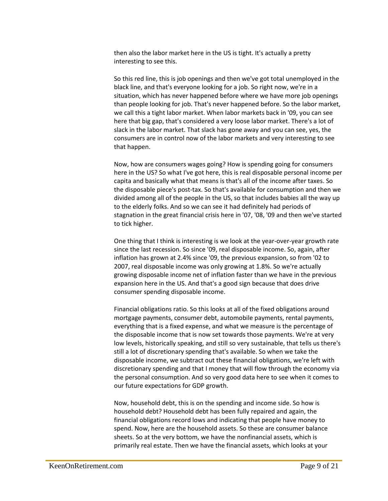then also the labor market here in the US is tight. It's actually a pretty interesting to see this.

So this red line, this is job openings and then we've got total unemployed in the black line, and that's everyone looking for a job. So right now, we're in a situation, which has never happened before where we have more job openings than people looking for job. That's never happened before. So the labor market, we call this a tight labor market. When labor markets back in '09, you can see here that big gap, that's considered a very loose labor market. There's a lot of slack in the labor market. That slack has gone away and you can see, yes, the consumers are in control now of the labor markets and very interesting to see that happen.

Now, how are consumers wages going? How is spending going for consumers here in the US? So what I've got here, this is real disposable personal income per capita and basically what that means is that's all of the income after taxes. So the disposable piece's post-tax. So that's available for consumption and then we divided among all of the people in the US, so that includes babies all the way up to the elderly folks. And so we can see it had definitely had periods of stagnation in the great financial crisis here in '07, '08, '09 and then we've started to tick higher.

One thing that I think is interesting is we look at the year-over-year growth rate since the last recession. So since '09, real disposable income. So, again, after inflation has grown at 2.4% since '09, the previous expansion, so from '02 to 2007, real disposable income was only growing at 1.8%. So we're actually growing disposable income net of inflation faster than we have in the previous expansion here in the US. And that's a good sign because that does drive consumer spending disposable income.

Financial obligations ratio. So this looks at all of the fixed obligations around mortgage payments, consumer debt, automobile payments, rental payments, everything that is a fixed expense, and what we measure is the percentage of the disposable income that is now set towards those payments. We're at very low levels, historically speaking, and still so very sustainable, that tells us there's still a lot of discretionary spending that's available. So when we take the disposable income, we subtract out these financial obligations, we're left with discretionary spending and that I money that will flow through the economy via the personal consumption. And so very good data here to see when it comes to our future expectations for GDP growth.

Now, household debt, this is on the spending and income side. So how is household debt? Household debt has been fully repaired and again, the financial obligations record lows and indicating that people have money to spend. Now, here are the household assets. So these are consumer balance sheets. So at the very bottom, we have the nonfinancial assets, which is primarily real estate. Then we have the financial assets, which looks at your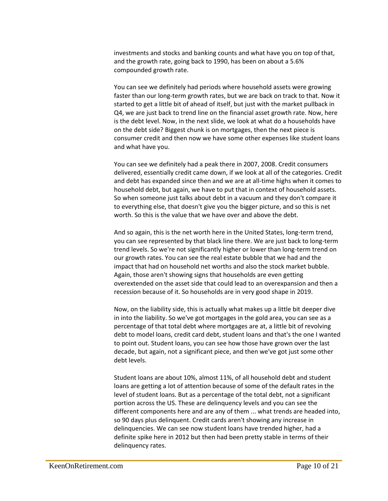investments and stocks and banking counts and what have you on top of that, and the growth rate, going back to 1990, has been on about a 5.6% compounded growth rate.

You can see we definitely had periods where household assets were growing faster than our long-term growth rates, but we are back on track to that. Now it started to get a little bit of ahead of itself, but just with the market pullback in Q4, we are just back to trend line on the financial asset growth rate. Now, here is the debt level. Now, in the next slide, we look at what do a households have on the debt side? Biggest chunk is on mortgages, then the next piece is consumer credit and then now we have some other expenses like student loans and what have you.

You can see we definitely had a peak there in 2007, 2008. Credit consumers delivered, essentially credit came down, if we look at all of the categories. Credit and debt has expanded since then and we are at all-time highs when it comes to household debt, but again, we have to put that in context of household assets. So when someone just talks about debt in a vacuum and they don't compare it to everything else, that doesn't give you the bigger picture, and so this is net worth. So this is the value that we have over and above the debt.

And so again, this is the net worth here in the United States, long-term trend, you can see represented by that black line there. We are just back to long-term trend levels. So we're not significantly higher or lower than long-term trend on our growth rates. You can see the real estate bubble that we had and the impact that had on household net worths and also the stock market bubble. Again, those aren't showing signs that households are even getting overextended on the asset side that could lead to an overexpansion and then a recession because of it. So households are in very good shape in 2019.

Now, on the liability side, this is actually what makes up a little bit deeper dive in into the liability. So we've got mortgages in the gold area, you can see as a percentage of that total debt where mortgages are at, a little bit of revolving debt to model loans, credit card debt, student loans and that's the one I wanted to point out. Student loans, you can see how those have grown over the last decade, but again, not a significant piece, and then we've got just some other debt levels.

Student loans are about 10%, almost 11%, of all household debt and student loans are getting a lot of attention because of some of the default rates in the level of student loans. But as a percentage of the total debt, not a significant portion across the US. These are delinquency levels and you can see the different components here and are any of them ... what trends are headed into, so 90 days plus delinquent. Credit cards aren't showing any increase in delinquencies. We can see now student loans have trended higher, had a definite spike here in 2012 but then had been pretty stable in terms of their delinquency rates.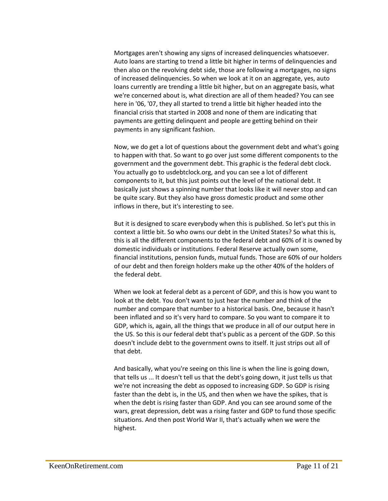Mortgages aren't showing any signs of increased delinquencies whatsoever. Auto loans are starting to trend a little bit higher in terms of delinquencies and then also on the revolving debt side, those are following a mortgages, no signs of increased delinquencies. So when we look at it on an aggregate, yes, auto loans currently are trending a little bit higher, but on an aggregate basis, what we're concerned about is, what direction are all of them headed? You can see here in '06, '07, they all started to trend a little bit higher headed into the financial crisis that started in 2008 and none of them are indicating that payments are getting delinquent and people are getting behind on their payments in any significant fashion.

Now, we do get a lot of questions about the government debt and what's going to happen with that. So want to go over just some different components to the government and the government debt. This graphic is the federal debt clock. You actually go to usdebtclock.org, and you can see a lot of different components to it, but this just points out the level of the national debt. It basically just shows a spinning number that looks like it will never stop and can be quite scary. But they also have gross domestic product and some other inflows in there, but it's interesting to see.

But it is designed to scare everybody when this is published. So let's put this in context a little bit. So who owns our debt in the United States? So what this is, this is all the different components to the federal debt and 60% of it is owned by domestic individuals or institutions. Federal Reserve actually own some, financial institutions, pension funds, mutual funds. Those are 60% of our holders of our debt and then foreign holders make up the other 40% of the holders of the federal debt.

When we look at federal debt as a percent of GDP, and this is how you want to look at the debt. You don't want to just hear the number and think of the number and compare that number to a historical basis. One, because it hasn't been inflated and so it's very hard to compare. So you want to compare it to GDP, which is, again, all the things that we produce in all of our output here in the US. So this is our federal debt that's public as a percent of the GDP. So this doesn't include debt to the government owns to itself. It just strips out all of that debt.

And basically, what you're seeing on this line is when the line is going down, that tells us ... It doesn't tell us that the debt's going down, it just tells us that we're not increasing the debt as opposed to increasing GDP. So GDP is rising faster than the debt is, in the US, and then when we have the spikes, that is when the debt is rising faster than GDP. And you can see around some of the wars, great depression, debt was a rising faster and GDP to fund those specific situations. And then post World War II, that's actually when we were the highest.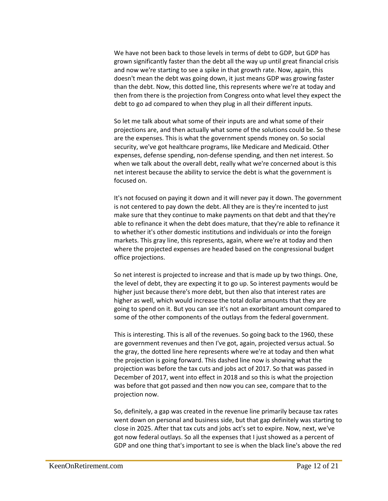We have not been back to those levels in terms of debt to GDP, but GDP has grown significantly faster than the debt all the way up until great financial crisis and now we're starting to see a spike in that growth rate. Now, again, this doesn't mean the debt was going down, it just means GDP was growing faster than the debt. Now, this dotted line, this represents where we're at today and then from there is the projection from Congress onto what level they expect the debt to go ad compared to when they plug in all their different inputs.

So let me talk about what some of their inputs are and what some of their projections are, and then actually what some of the solutions could be. So these are the expenses. This is what the government spends money on. So social security, we've got healthcare programs, like Medicare and Medicaid. Other expenses, defense spending, non-defense spending, and then net interest. So when we talk about the overall debt, really what we're concerned about is this net interest because the ability to service the debt is what the government is focused on.

It's not focused on paying it down and it will never pay it down. The government is not centered to pay down the debt. All they are is they're incented to just make sure that they continue to make payments on that debt and that they're able to refinance it when the debt does mature, that they're able to refinance it to whether it's other domestic institutions and individuals or into the foreign markets. This gray line, this represents, again, where we're at today and then where the projected expenses are headed based on the congressional budget office projections.

So net interest is projected to increase and that is made up by two things. One, the level of debt, they are expecting it to go up. So interest payments would be higher just because there's more debt, but then also that interest rates are higher as well, which would increase the total dollar amounts that they are going to spend on it. But you can see it's not an exorbitant amount compared to some of the other components of the outlays from the federal government.

This is interesting. This is all of the revenues. So going back to the 1960, these are government revenues and then I've got, again, projected versus actual. So the gray, the dotted line here represents where we're at today and then what the projection is going forward. This dashed line now is showing what the projection was before the tax cuts and jobs act of 2017. So that was passed in December of 2017, went into effect in 2018 and so this is what the projection was before that got passed and then now you can see, compare that to the projection now.

So, definitely, a gap was created in the revenue line primarily because tax rates went down on personal and business side, but that gap definitely was starting to close in 2025. After that tax cuts and jobs act's set to expire. Now, next, we've got now federal outlays. So all the expenses that I just showed as a percent of GDP and one thing that's important to see is when the black line's above the red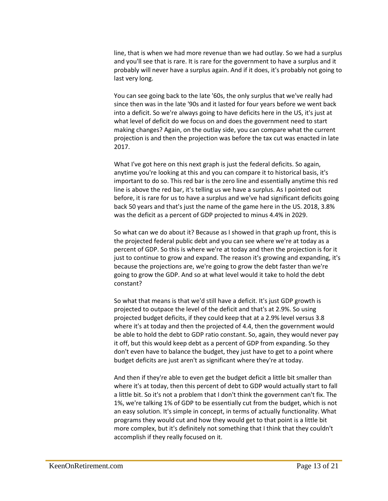line, that is when we had more revenue than we had outlay. So we had a surplus and you'll see that is rare. It is rare for the government to have a surplus and it probably will never have a surplus again. And if it does, it's probably not going to last very long.

You can see going back to the late '60s, the only surplus that we've really had since then was in the late '90s and it lasted for four years before we went back into a deficit. So we're always going to have deficits here in the US, it's just at what level of deficit do we focus on and does the government need to start making changes? Again, on the outlay side, you can compare what the current projection is and then the projection was before the tax cut was enacted in late 2017.

What I've got here on this next graph is just the federal deficits. So again, anytime you're looking at this and you can compare it to historical basis, it's important to do so. This red bar is the zero line and essentially anytime this red line is above the red bar, it's telling us we have a surplus. As I pointed out before, it is rare for us to have a surplus and we've had significant deficits going back 50 years and that's just the name of the game here in the US. 2018, 3.8% was the deficit as a percent of GDP projected to minus 4.4% in 2029.

So what can we do about it? Because as I showed in that graph up front, this is the projected federal public debt and you can see where we're at today as a percent of GDP. So this is where we're at today and then the projection is for it just to continue to grow and expand. The reason it's growing and expanding, it's because the projections are, we're going to grow the debt faster than we're going to grow the GDP. And so at what level would it take to hold the debt constant?

So what that means is that we'd still have a deficit. It's just GDP growth is projected to outpace the level of the deficit and that's at 2.9%. So using projected budget deficits, if they could keep that at a 2.9% level versus 3.8 where it's at today and then the projected of 4.4, then the government would be able to hold the debt to GDP ratio constant. So, again, they would never pay it off, but this would keep debt as a percent of GDP from expanding. So they don't even have to balance the budget, they just have to get to a point where budget deficits are just aren't as significant where they're at today.

And then if they're able to even get the budget deficit a little bit smaller than where it's at today, then this percent of debt to GDP would actually start to fall a little bit. So it's not a problem that I don't think the government can't fix. The 1%, we're talking 1% of GDP to be essentially cut from the budget, which is not an easy solution. It's simple in concept, in terms of actually functionality. What programs they would cut and how they would get to that point is a little bit more complex, but it's definitely not something that I think that they couldn't accomplish if they really focused on it.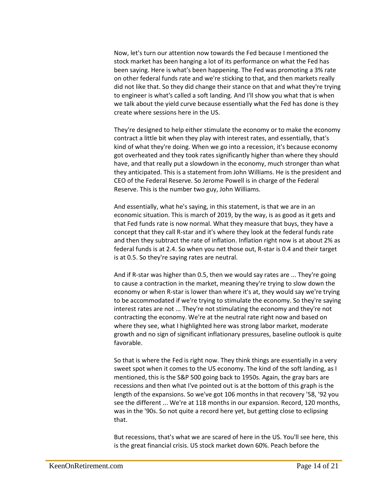Now, let's turn our attention now towards the Fed because I mentioned the stock market has been hanging a lot of its performance on what the Fed has been saying. Here is what's been happening. The Fed was promoting a 3% rate on other federal funds rate and we're sticking to that, and then markets really did not like that. So they did change their stance on that and what they're trying to engineer is what's called a soft landing. And I'll show you what that is when we talk about the yield curve because essentially what the Fed has done is they create where sessions here in the US.

They're designed to help either stimulate the economy or to make the economy contract a little bit when they play with interest rates, and essentially, that's kind of what they're doing. When we go into a recession, it's because economy got overheated and they took rates significantly higher than where they should have, and that really put a slowdown in the economy, much stronger than what they anticipated. This is a statement from John Williams. He is the president and CEO of the Federal Reserve. So Jerome Powell is in charge of the Federal Reserve. This is the number two guy, John Williams.

And essentially, what he's saying, in this statement, is that we are in an economic situation. This is march of 2019, by the way, is as good as it gets and that Fed funds rate is now normal. What they measure that buys, they have a concept that they call R-star and it's where they look at the federal funds rate and then they subtract the rate of inflation. Inflation right now is at about 2% as federal funds is at 2.4. So when you net those out, R-star is 0.4 and their target is at 0.5. So they're saying rates are neutral.

And if R-star was higher than 0.5, then we would say rates are ... They're going to cause a contraction in the market, meaning they're trying to slow down the economy or when R-star is lower than where it's at, they would say we're trying to be accommodated if we're trying to stimulate the economy. So they're saying interest rates are not ... They're not stimulating the economy and they're not contracting the economy. We're at the neutral rate right now and based on where they see, what I highlighted here was strong labor market, moderate growth and no sign of significant inflationary pressures, baseline outlook is quite favorable.

So that is where the Fed is right now. They think things are essentially in a very sweet spot when it comes to the US economy. The kind of the soft landing, as I mentioned, this is the S&P 500 going back to 1950s. Again, the gray bars are recessions and then what I've pointed out is at the bottom of this graph is the length of the expansions. So we've got 106 months in that recovery '58, '92 you see the different ... We're at 118 months in our expansion. Record, 120 months, was in the '90s. So not quite a record here yet, but getting close to eclipsing that.

But recessions, that's what we are scared of here in the US. You'll see here, this is the great financial crisis. US stock market down 60%. Peach before the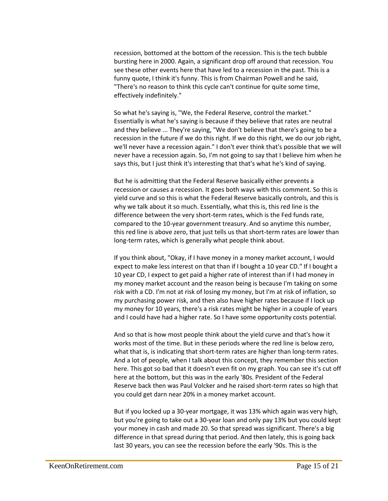recession, bottomed at the bottom of the recession. This is the tech bubble bursting here in 2000. Again, a significant drop off around that recession. You see these other events here that have led to a recession in the past. This is a funny quote, I think it's funny. This is from Chairman Powell and he said, "There's no reason to think this cycle can't continue for quite some time, effectively indefinitely."

So what he's saying is, "We, the Federal Reserve, control the market." Essentially is what he's saying is because if they believe that rates are neutral and they believe ... They're saying, "We don't believe that there's going to be a recession in the future if we do this right. If we do this right, we do our job right, we'll never have a recession again." I don't ever think that's possible that we will never have a recession again. So, I'm not going to say that I believe him when he says this, but I just think it's interesting that that's what he's kind of saying.

But he is admitting that the Federal Reserve basically either prevents a recession or causes a recession. It goes both ways with this comment. So this is yield curve and so this is what the Federal Reserve basically controls, and this is why we talk about it so much. Essentially, what this is, this red line is the difference between the very short-term rates, which is the Fed funds rate, compared to the 10-year government treasury. And so anytime this number, this red line is above zero, that just tells us that short-term rates are lower than long-term rates, which is generally what people think about.

If you think about, "Okay, if I have money in a money market account, I would expect to make less interest on that than if I bought a 10 year CD." If I bought a 10 year CD, I expect to get paid a higher rate of interest than if I had money in my money market account and the reason being is because I'm taking on some risk with a CD. I'm not at risk of losing my money, but I'm at risk of inflation, so my purchasing power risk, and then also have higher rates because if I lock up my money for 10 years, there's a risk rates might be higher in a couple of years and I could have had a higher rate. So I have some opportunity costs potential.

And so that is how most people think about the yield curve and that's how it works most of the time. But in these periods where the red line is below zero, what that is, is indicating that short-term rates are higher than long-term rates. And a lot of people, when I talk about this concept, they remember this section here. This got so bad that it doesn't even fit on my graph. You can see it's cut off here at the bottom, but this was in the early '80s. President of the Federal Reserve back then was Paul Volcker and he raised short-term rates so high that you could get darn near 20% in a money market account.

But if you locked up a 30-year mortgage, it was 13% which again was very high, but you're going to take out a 30-year loan and only pay 13% but you could kept your money in cash and made 20. So that spread was significant. There's a big difference in that spread during that period. And then lately, this is going back last 30 years, you can see the recession before the early '90s. This is the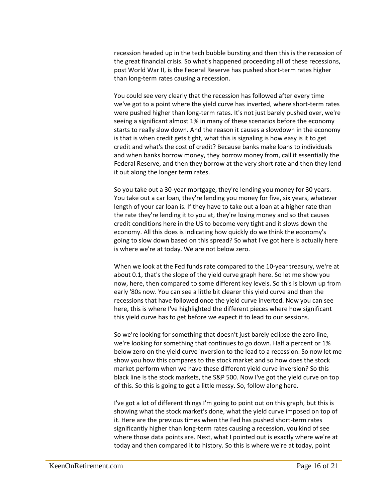recession headed up in the tech bubble bursting and then this is the recession of the great financial crisis. So what's happened proceeding all of these recessions, post World War II, is the Federal Reserve has pushed short-term rates higher than long-term rates causing a recession.

You could see very clearly that the recession has followed after every time we've got to a point where the yield curve has inverted, where short-term rates were pushed higher than long-term rates. It's not just barely pushed over, we're seeing a significant almost 1% in many of these scenarios before the economy starts to really slow down. And the reason it causes a slowdown in the economy is that is when credit gets tight, what this is signaling is how easy is it to get credit and what's the cost of credit? Because banks make loans to individuals and when banks borrow money, they borrow money from, call it essentially the Federal Reserve, and then they borrow at the very short rate and then they lend it out along the longer term rates.

So you take out a 30-year mortgage, they're lending you money for 30 years. You take out a car loan, they're lending you money for five, six years, whatever length of your car loan is. If they have to take out a loan at a higher rate than the rate they're lending it to you at, they're losing money and so that causes credit conditions here in the US to become very tight and it slows down the economy. All this does is indicating how quickly do we think the economy's going to slow down based on this spread? So what I've got here is actually here is where we're at today. We are not below zero.

When we look at the Fed funds rate compared to the 10-year treasury, we're at about 0.1, that's the slope of the yield curve graph here. So let me show you now, here, then compared to some different key levels. So this is blown up from early '80s now. You can see a little bit clearer this yield curve and then the recessions that have followed once the yield curve inverted. Now you can see here, this is where I've highlighted the different pieces where how significant this yield curve has to get before we expect it to lead to our sessions.

So we're looking for something that doesn't just barely eclipse the zero line, we're looking for something that continues to go down. Half a percent or 1% below zero on the yield curve inversion to the lead to a recession. So now let me show you how this compares to the stock market and so how does the stock market perform when we have these different yield curve inversion? So this black line is the stock markets, the S&P 500. Now I've got the yield curve on top of this. So this is going to get a little messy. So, follow along here.

I've got a lot of different things I'm going to point out on this graph, but this is showing what the stock market's done, what the yield curve imposed on top of it. Here are the previous times when the Fed has pushed short-term rates significantly higher than long-term rates causing a recession, you kind of see where those data points are. Next, what I pointed out is exactly where we're at today and then compared it to history. So this is where we're at today, point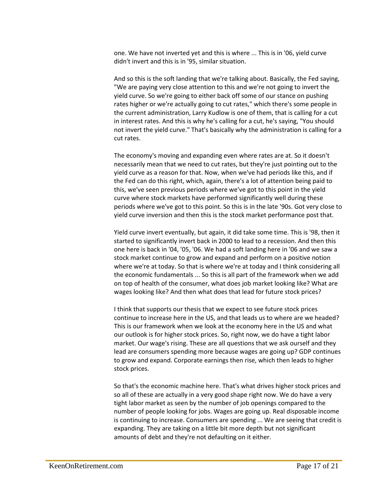one. We have not inverted yet and this is where ... This is in '06, yield curve didn't invert and this is in '95, similar situation.

And so this is the soft landing that we're talking about. Basically, the Fed saying, "We are paying very close attention to this and we're not going to invert the yield curve. So we're going to either back off some of our stance on pushing rates higher or we're actually going to cut rates," which there's some people in the current administration, Larry Kudlow is one of them, that is calling for a cut in interest rates. And this is why he's calling for a cut, he's saying, "You should not invert the yield curve." That's basically why the administration is calling for a cut rates.

The economy's moving and expanding even where rates are at. So it doesn't necessarily mean that we need to cut rates, but they're just pointing out to the yield curve as a reason for that. Now, when we've had periods like this, and if the Fed can do this right, which, again, there's a lot of attention being paid to this, we've seen previous periods where we've got to this point in the yield curve where stock markets have performed significantly well during these periods where we've got to this point. So this is in the late '90s. Got very close to yield curve inversion and then this is the stock market performance post that.

Yield curve invert eventually, but again, it did take some time. This is '98, then it started to significantly invert back in 2000 to lead to a recession. And then this one here is back in '04, '05, '06. We had a soft landing here in '06 and we saw a stock market continue to grow and expand and perform on a positive notion where we're at today. So that is where we're at today and I think considering all the economic fundamentals ... So this is all part of the framework when we add on top of health of the consumer, what does job market looking like? What are wages looking like? And then what does that lead for future stock prices?

I think that supports our thesis that we expect to see future stock prices continue to increase here in the US, and that leads us to where are we headed? This is our framework when we look at the economy here in the US and what our outlook is for higher stock prices. So, right now, we do have a tight labor market. Our wage's rising. These are all questions that we ask ourself and they lead are consumers spending more because wages are going up? GDP continues to grow and expand. Corporate earnings then rise, which then leads to higher stock prices.

So that's the economic machine here. That's what drives higher stock prices and so all of these are actually in a very good shape right now. We do have a very tight labor market as seen by the number of job openings compared to the number of people looking for jobs. Wages are going up. Real disposable income is continuing to increase. Consumers are spending ... We are seeing that credit is expanding. They are taking on a little bit more depth but not significant amounts of debt and they're not defaulting on it either.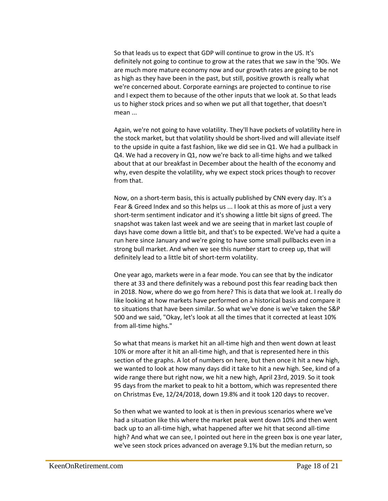So that leads us to expect that GDP will continue to grow in the US. It's definitely not going to continue to grow at the rates that we saw in the '90s. We are much more mature economy now and our growth rates are going to be not as high as they have been in the past, but still, positive growth is really what we're concerned about. Corporate earnings are projected to continue to rise and I expect them to because of the other inputs that we look at. So that leads us to higher stock prices and so when we put all that together, that doesn't mean ...

Again, we're not going to have volatility. They'll have pockets of volatility here in the stock market, but that volatility should be short-lived and will alleviate itself to the upside in quite a fast fashion, like we did see in Q1. We had a pullback in Q4. We had a recovery in Q1, now we're back to all-time highs and we talked about that at our breakfast in December about the health of the economy and why, even despite the volatility, why we expect stock prices though to recover from that.

Now, on a short-term basis, this is actually published by CNN every day. It's a Fear & Greed Index and so this helps us ... I look at this as more of just a very short-term sentiment indicator and it's showing a little bit signs of greed. The snapshot was taken last week and we are seeing that in market last couple of days have come down a little bit, and that's to be expected. We've had a quite a run here since January and we're going to have some small pullbacks even in a strong bull market. And when we see this number start to creep up, that will definitely lead to a little bit of short-term volatility.

One year ago, markets were in a fear mode. You can see that by the indicator there at 33 and there definitely was a rebound post this fear reading back then in 2018. Now, where do we go from here? This is data that we look at. I really do like looking at how markets have performed on a historical basis and compare it to situations that have been similar. So what we've done is we've taken the S&P 500 and we said, "Okay, let's look at all the times that it corrected at least 10% from all-time highs."

So what that means is market hit an all-time high and then went down at least 10% or more after it hit an all-time high, and that is represented here in this section of the graphs. A lot of numbers on here, but then once it hit a new high, we wanted to look at how many days did it take to hit a new high. See, kind of a wide range there but right now, we hit a new high, April 23rd, 2019. So it took 95 days from the market to peak to hit a bottom, which was represented there on Christmas Eve, 12/24/2018, down 19.8% and it took 120 days to recover.

So then what we wanted to look at is then in previous scenarios where we've had a situation like this where the market peak went down 10% and then went back up to an all-time high, what happened after we hit that second all-time high? And what we can see, I pointed out here in the green box is one year later, we've seen stock prices advanced on average 9.1% but the median return, so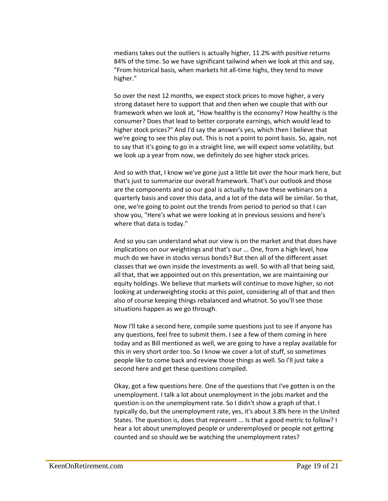medians takes out the outliers is actually higher, 11.2% with positive returns 84% of the time. So we have significant tailwind when we look at this and say, "From historical basis, when markets hit all-time highs, they tend to move higher."

So over the next 12 months, we expect stock prices to move higher, a very strong dataset here to support that and then when we couple that with our framework when we look at, "How healthy is the economy? How healthy is the consumer? Does that lead to better corporate earnings, which would lead to higher stock prices?" And I'd say the answer's yes, which then I believe that we're going to see this play out. This is not a point to point basis. So, again, not to say that it's going to go in a straight line, we will expect some volatility, but we look up a year from now, we definitely do see higher stock prices.

And so with that, I know we've gone just a little bit over the hour mark here, but that's just to summarize our overall framework. That's our outlook and those are the components and so our goal is actually to have these webinars on a quarterly basis and cover this data, and a lot of the data will be similar. So that, one, we're going to point out the trends from period to period so that I can show you, "Here's what we were looking at in previous sessions and here's where that data is today."

And so you can understand what our view is on the market and that does have implications on our weightings and that's our ... One, from a high level, how much do we have in stocks versus bonds? But then all of the different asset classes that we own inside the investments as well. So with all that being said, all that, that we appointed out on this presentation, we are maintaining our equity holdings. We believe that markets will continue to move higher, so not looking at underweighting stocks at this point, considering all of that and then also of course keeping things rebalanced and whatnot. So you'll see those situations happen as we go through.

Now I'll take a second here, compile some questions just to see if anyone has any questions, feel free to submit them. I see a few of them coming in here today and as Bill mentioned as well, we are going to have a replay available for this in very short order too. So I know we cover a lot of stuff, so sometimes people like to come back and review those things as well. So I'll just take a second here and get these questions compiled.

Okay, got a few questions here. One of the questions that I've gotten is on the unemployment. I talk a lot about unemployment in the jobs market and the question is on the unemployment rate. So I didn't show a graph of that. I typically do, but the unemployment rate, yes, it's about 3.8% here in the United States. The question is, does that represent ... Is that a good metric to follow? I hear a lot about unemployed people or underemployed or people not getting counted and so should we be watching the unemployment rates?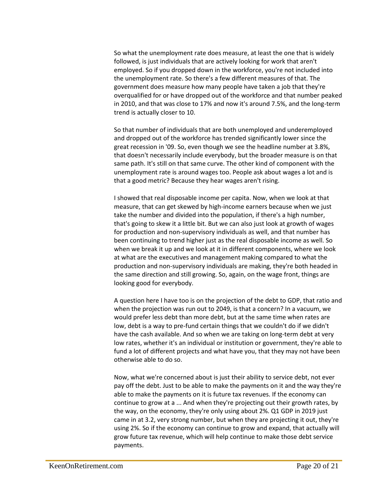So what the unemployment rate does measure, at least the one that is widely followed, is just individuals that are actively looking for work that aren't employed. So if you dropped down in the workforce, you're not included into the unemployment rate. So there's a few different measures of that. The government does measure how many people have taken a job that they're overqualified for or have dropped out of the workforce and that number peaked in 2010, and that was close to 17% and now it's around 7.5%, and the long-term trend is actually closer to 10.

So that number of individuals that are both unemployed and underemployed and dropped out of the workforce has trended significantly lower since the great recession in '09. So, even though we see the headline number at 3.8%, that doesn't necessarily include everybody, but the broader measure is on that same path. It's still on that same curve. The other kind of component with the unemployment rate is around wages too. People ask about wages a lot and is that a good metric? Because they hear wages aren't rising.

I showed that real disposable income per capita. Now, when we look at that measure, that can get skewed by high-income earners because when we just take the number and divided into the population, if there's a high number, that's going to skew it a little bit. But we can also just look at growth of wages for production and non-supervisory individuals as well, and that number has been continuing to trend higher just as the real disposable income as well. So when we break it up and we look at it in different components, where we look at what are the executives and management making compared to what the production and non-supervisory individuals are making, they're both headed in the same direction and still growing. So, again, on the wage front, things are looking good for everybody.

A question here I have too is on the projection of the debt to GDP, that ratio and when the projection was run out to 2049, is that a concern? In a vacuum, we would prefer less debt than more debt, but at the same time when rates are low, debt is a way to pre-fund certain things that we couldn't do if we didn't have the cash available. And so when we are taking on long-term debt at very low rates, whether it's an individual or institution or government, they're able to fund a lot of different projects and what have you, that they may not have been otherwise able to do so.

Now, what we're concerned about is just their ability to service debt, not ever pay off the debt. Just to be able to make the payments on it and the way they're able to make the payments on it is future tax revenues. If the economy can continue to grow at a ... And when they're projecting out their growth rates, by the way, on the economy, they're only using about 2%. Q1 GDP in 2019 just came in at 3.2, very strong number, but when they are projecting it out, they're using 2%. So if the economy can continue to grow and expand, that actually will grow future tax revenue, which will help continue to make those debt service payments.